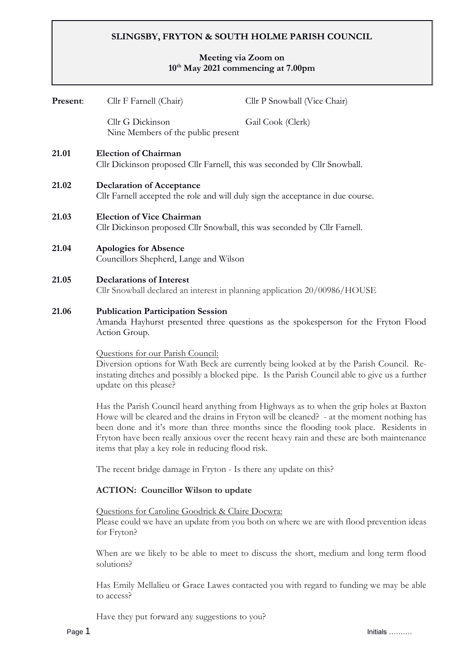# **SLINGSBY, FRYTON & SOUTH HOLME PARISH COUNCIL**

# **Meeting via Zoom on 10th May 2021 commencing at 7.00pm**

| Present: | Cllr F Farnell (Chair)                                                                                                                                                                                                                                                                                                                                                                                                            | Cllr P Snowball (Vice Chair)                                                           |  |  |  |
|----------|-----------------------------------------------------------------------------------------------------------------------------------------------------------------------------------------------------------------------------------------------------------------------------------------------------------------------------------------------------------------------------------------------------------------------------------|----------------------------------------------------------------------------------------|--|--|--|
|          | Cllr G Dickinson<br>Nine Members of the public present                                                                                                                                                                                                                                                                                                                                                                            | Gail Cook (Clerk)                                                                      |  |  |  |
| 21.01    | <b>Election of Chairman</b><br>Cllr Dickinson proposed Cllr Farnell, this was seconded by Cllr Snowball.                                                                                                                                                                                                                                                                                                                          |                                                                                        |  |  |  |
| 21.02    | <b>Declaration of Acceptance</b><br>Cllr Farnell accepted the role and will duly sign the acceptance in due course.                                                                                                                                                                                                                                                                                                               |                                                                                        |  |  |  |
| 21.03    | <b>Election of Vice Chairman</b><br>Cllr Dickinson proposed Cllr Snowball, this was seconded by Cllr Farnell.                                                                                                                                                                                                                                                                                                                     |                                                                                        |  |  |  |
| 21.04    | <b>Apologies for Absence</b><br>Councillors Shepherd, Lange and Wilson                                                                                                                                                                                                                                                                                                                                                            |                                                                                        |  |  |  |
| 21.05    | <b>Declarations of Interest</b><br>Cllr Snowball declared an interest in planning application 20/00986/HOUSE                                                                                                                                                                                                                                                                                                                      |                                                                                        |  |  |  |
| 21.06    | <b>Publication Participation Session</b><br>Amanda Hayhurst presented three questions as the spokesperson for the Fryton Flood<br>Action Group.<br>Questions for our Parish Council:<br>Diversion options for Wath Beck are currently being looked at by the Parish Council. Re-<br>instating ditches and possibly a blocked pipe. Is the Parish Council able to give us a further<br>update on this please?                      |                                                                                        |  |  |  |
|          |                                                                                                                                                                                                                                                                                                                                                                                                                                   |                                                                                        |  |  |  |
|          | Has the Parish Council heard anything from Highways as to when the grip holes at Baxton<br>Howe will be cleared and the drains in Fryton will be cleaned? - at the moment nothing has<br>been done and it's more than three months since the flooding took place. Residents in<br>Fryton have been really anxious over the recent heavy rain and these are both maintenance<br>items that play a key role in reducing flood risk. |                                                                                        |  |  |  |
|          | The recent bridge damage in Fryton - Is there any update on this?                                                                                                                                                                                                                                                                                                                                                                 |                                                                                        |  |  |  |
|          | <b>ACTION:</b> Councillor Wilson to update                                                                                                                                                                                                                                                                                                                                                                                        |                                                                                        |  |  |  |
|          | Questions for Caroline Goodrick & Claire Docwra:<br>Please could we have an update from you both on where we are with flood prevention ideas<br>for Fryton?                                                                                                                                                                                                                                                                       |                                                                                        |  |  |  |
|          | solutions?                                                                                                                                                                                                                                                                                                                                                                                                                        | When are we likely to be able to meet to discuss the short, medium and long term flood |  |  |  |

Has Emily Mellalieu or Grace Lawes contacted you with regard to funding we may be able to access?

Have they put forward any suggestions to you?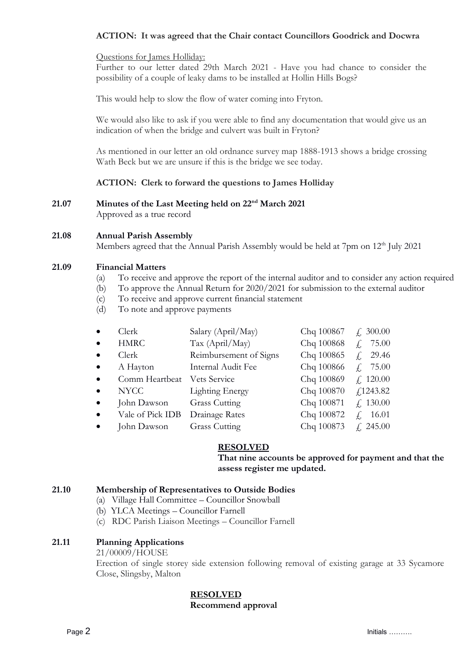# **ACTION: It was agreed that the Chair contact Councillors Goodrick and Docwra**

#### Questions for James Holliday:

Further to our letter dated 29th March 2021 - Have you had chance to consider the possibility of a couple of leaky dams to be installed at Hollin Hills Bogs?

This would help to slow the flow of water coming into Fryton.

We would also like to ask if you were able to find any documentation that would give us an indication of when the bridge and culvert was built in Fryton?

As mentioned in our letter an old ordnance survey map 1888-1913 shows a bridge crossing Wath Beck but we are unsure if this is the bridge we see today.

# **ACTION: Clerk to forward the questions to James Holliday**

**21.07 Minutes of the Last Meeting held on 22nd March 2021** Approved as a true record

#### **21.08 Annual Parish Assembly**

Members agreed that the Annual Parish Assembly would be held at 7pm on 12<sup>th</sup> July 2021

#### **21.09 Financial Matters**

- (a) To receive and approve the report of the internal auditor and to consider any action required
- (b) To approve the Annual Return for 2020/2021 for submission to the external auditor
- (c) To receive and approve current financial statement
- (d) To note and approve payments

| Clerk              |                  | Salary (April/May)     | Chq 100867 | $\neq 300.00$            |
|--------------------|------------------|------------------------|------------|--------------------------|
| $\bullet$          | <b>HMRC</b>      | Tax (April/May)        | Chq 100868 | 75.00                    |
| Clerk<br>$\bullet$ |                  | Reimbursement of Signs | Chq 100865 | 29.46                    |
| $\bullet$          | A Hayton         | Internal Audit Fee     | Chq 100866 | 75.00                    |
| $\bullet$          | Comm Heartbeat   | Vets Service           | Chq 100869 | f, 120.00                |
| $\bullet$          | <b>NYCC</b>      | <b>Lighting Energy</b> | Chq 100870 | $f$ 1243.82              |
| $\bullet$          | John Dawson      | <b>Grass Cutting</b>   | Chq 100871 | f. 130.00                |
| $\bullet$          | Vale of Pick IDB | Drainage Rates         | Chq 100872 | 16.01<br>$\int_{\gamma}$ |
|                    | John Dawson      | <b>Grass Cutting</b>   | Chq 100873 | f. 245.00                |

# **RESOLVED**

**That nine accounts be approved for payment and that the assess register me updated.**

#### **21.10 Membership of Representatives to Outside Bodies**

- (a) Village Hall Committee Councillor Snowball
- (b) YLCA Meetings Councillor Farnell
- (c) RDC Parish Liaison Meetings Councillor Farnell

# **21.11 Planning Applications**

21/00009/HOUSE

Erection of single storey side extension following removal of existing garage at 33 Sycamore Close, Slingsby, Malton

# **RESOLVED**

# **Recommend approval**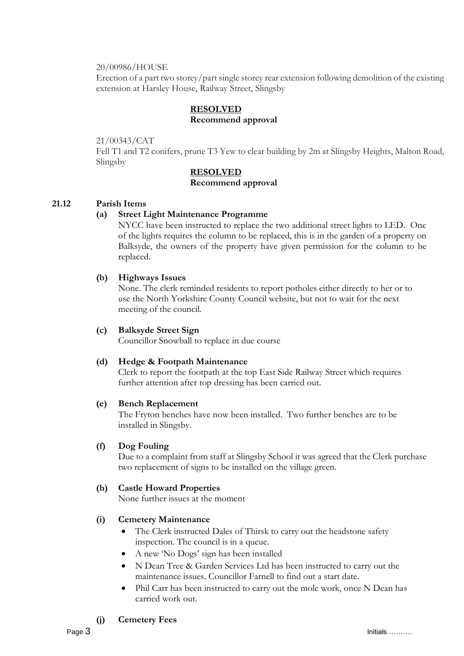#### 20/00986/HOUSE

Erection of a part two storey/part single storey rear extension following demolition of the existing extension at Harsley House, Railway Street, Slingsby

# **RESOLVED Recommend approval**

#### 21/00343/CAT

Fell T1 and T2 conifers, prune T3 Yew to clear building by 2m at Slingsby Heights, Malton Road, Slingsby

# **RESOLVED**

#### **Recommend approval**

# **21.12 Parish Items**

#### **(a) Street Light Maintenance Programme**

NYCC have been instructed to replace the two additional street lights to LED. One of the lights requires the column to be replaced, this is in the garden of a property on Balksyde, the owners of the property have given permission for the column to be replaced.

#### **(b) Highways Issues**

None. The clerk reminded residents to report potholes either directly to her or to use the North Yorkshire County Council website, but not to wait for the next meeting of the council.

#### **(c) Balksyde Street Sign**

Councillor Snowball to replace in due course

# **(d) Hedge & Footpath Maintenance**

Clerk to report the footpath at the top East Side Railway Street which requires further attention after top dressing has been carried out.

#### **(e) Bench Replacement**

The Fryton benches have now been installed. Two further benches are to be installed in Slingsby.

# **(f) Dog Fouling**

Due to a complaint from staff at Slingsby School it was agreed that the Clerk purchase two replacement of signs to be installed on the village green.

# **(h) Castle Howard Properties**

None further issues at the moment

# **(i) Cemetery Maintenance**

- The Clerk instructed Dales of Thirsk to carry out the headstone safety inspection. The council is in a queue.
- A new 'No Dogs' sign has been installed
- N Dean Tree & Garden Services Ltd has been instructed to carry out the maintenance issues. Councillor Farnell to find out a start date.
- Phil Carr has been instructed to carry out the mole work, once N Dean has carried work out.

# **(j) Cemetery Fees**